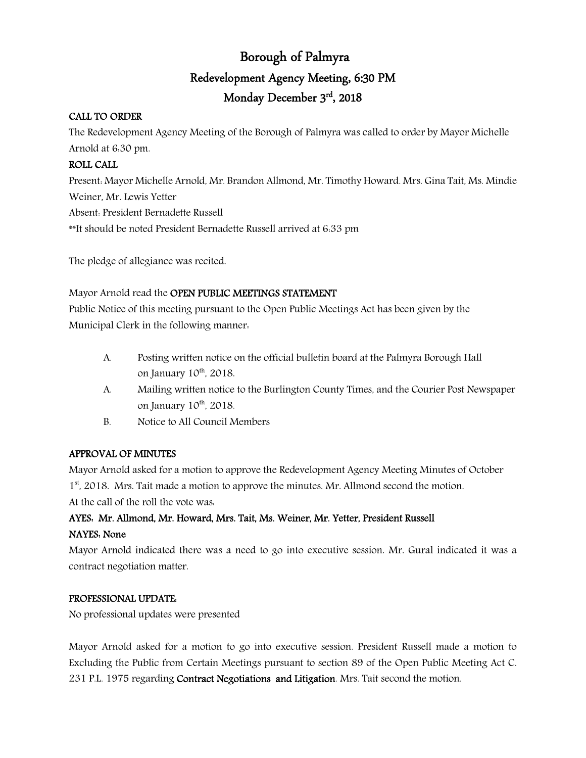# Borough of Palmyra Redevelopment Agency Meeting, 6:30 PM Monday December 3rd, 2018

### CALL TO ORDER

The Redevelopment Agency Meeting of the Borough of Palmyra was called to order by Mayor Michelle Arnold at 6:30 pm.

### ROLL CALL

Present: Mayor Michelle Arnold, Mr. Brandon Allmond, Mr. Timothy Howard. Mrs. Gina Tait, Ms. Mindie Weiner, Mr. Lewis Yetter Absent: President Bernadette Russell \*\*It should be noted President Bernadette Russell arrived at 6:33 pm

The pledge of allegiance was recited.

Mayor Arnold read the OPEN PUBLIC MEETINGS STATEMENT

Public Notice of this meeting pursuant to the Open Public Meetings Act has been given by the Municipal Clerk in the following manner:

- A. Posting written notice on the official bulletin board at the Palmyra Borough Hall on January  $10^{th}$ , 2018.
- A. Mailing written notice to the Burlington County Times, and the Courier Post Newspaper on January  $10^{th}$ ,  $2018$ .
- B. Notice to All Council Members

### APPROVAL OF MINUTES

Mayor Arnold asked for a motion to approve the Redevelopment Agency Meeting Minutes of October 1<sup>st</sup>, 2018. Mrs. Tait made a motion to approve the minutes. Mr. Allmond second the motion. At the call of the roll the vote was:

## AYES: Mr. Allmond, Mr. Howard, Mrs. Tait, Ms. Weiner, Mr. Yetter, President Russell NAYES: None

Mayor Arnold indicated there was a need to go into executive session. Mr. Gural indicated it was a contract negotiation matter.

### PROFESSIONAL UPDATE:

No professional updates were presented

Mayor Arnold asked for a motion to go into executive session. President Russell made a motion to Excluding the Public from Certain Meetings pursuant to section 89 of the Open Public Meeting Act C. 231 P.L. 1975 regarding Contract Negotiations and Litigation. Mrs. Tait second the motion.